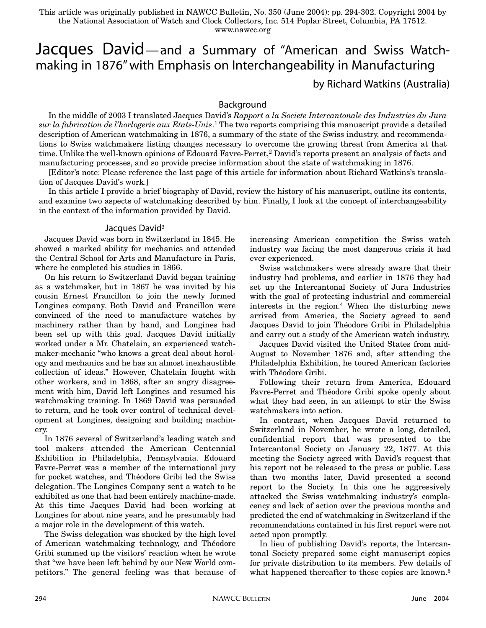This article was originally published in NAWCC Bulletin, No. 350 (June 2004): pp. 294-302. Copyright 2004 by the National Association of Watch and Clock Collectors, Inc. 514 Poplar Street, Columbia, PA 17512. www.nawcc.org

# Jacques David—and a Summary of "American and Swiss Watchmaking in 1876" with Emphasis on Interchangeability in Manufacturing

by Richard Watkins (Australia)

## Background

In the middle of 2003 I translated Jacques David's *Rapport a la Societe Intercantonale des Industries du Jura sur la fabrication de l'horlogerie aux Etats-Unis*. <sup>1</sup> The two reports comprising this manuscript provide a detailed description of American watchmaking in 1876, a summary of the state of the Swiss industry, and recommendations to Swiss watchmakers listing changes necessary to overcome the growing threat from America at that time. Unlike the well-known opinions of Edouard Favre-Perret,<sup>2</sup> David's reports present an analysis of facts and manufacturing processes, and so provide precise information about the state of watchmaking in 1876.

[Editor's note: Please reference the last page of this article for information about Richard Watkins's translation of Jacques David's work.]

In this article I provide a brief biography of David, review the history of his manuscript, outline its contents, and examine two aspects of watchmaking described by him. Finally, I look at the concept of interchangeability in the context of the information provided by David.

#### Jacques David<sup>3</sup>

Jacques David was born in Switzerland in 1845. He showed a marked ability for mechanics and attended the Central School for Arts and Manufacture in Paris, where he completed his studies in 1866.

On his return to Switzerland David began training as a watchmaker, but in 1867 he was invited by his cousin Ernest Francillon to join the newly formed Longines company. Both David and Francillon were convinced of the need to manufacture watches by machinery rather than by hand, and Longines had been set up with this goal. Jacques David initially worked under a Mr. Chatelain, an experienced watchmaker-mechanic "who knows a great deal about horology and mechanics and he has an almost inexhaustible collection of ideas." However, Chatelain fought with other workers, and in 1868, after an angry disagreement with him, David left Longines and resumed his watchmaking training. In 1869 David was persuaded to return, and he took over control of technical development at Longines, designing and building machinery.

In 1876 several of Switzerland's leading watch and tool makers attended the American Centennial Exhibition in Philadelphia, Pennsylvania. Edouard Favre-Perret was a member of the international jury for pocket watches, and Théodore Gribi led the Swiss delegation. The Longines Company sent a watch to be exhibited as one that had been entirely machine-made. At this time Jacques David had been working at Longines for about nine years, and he presumably had a major role in the development of this watch.

The Swiss delegation was shocked by the high level of American watchmaking technology, and Théodore Gribi summed up the visitors' reaction when he wrote that "we have been left behind by our New World competitors." The general feeling was that because of increasing American competition the Swiss watch industry was facing the most dangerous crisis it had ever experienced.

Swiss watchmakers were already aware that their industry had problems, and earlier in 1876 they had set up the Intercantonal Society of Jura Industries with the goal of protecting industrial and commercial interests in the region.4 When the disturbing news arrived from America, the Society agreed to send Jacques David to join Théodore Gribi in Philadelphia and carry out a study of the American watch industry.

Jacques David visited the United States from mid-August to November 1876 and, after attending the Philadelphia Exhibition, he toured American factories with Théodore Gribi.

Following their return from America, Edouard Favre-Perret and Théodore Gribi spoke openly about what they had seen, in an attempt to stir the Swiss watchmakers into action.

In contrast, when Jacques David returned to Switzerland in November, he wrote a long, detailed, confidential report that was presented to the Intercantonal Society on January 22, 1877. At this meeting the Society agreed with David's request that his report not be released to the press or public. Less than two months later, David presented a second report to the Society. In this one he aggressively attacked the Swiss watchmaking industry's complacency and lack of action over the previous months and predicted the end of watchmaking in Switzerland if the recommendations contained in his first report were not acted upon promptly.

In lieu of publishing David's reports, the Intercantonal Society prepared some eight manuscript copies for private distribution to its members. Few details of what happened thereafter to these copies are known.<sup>5</sup>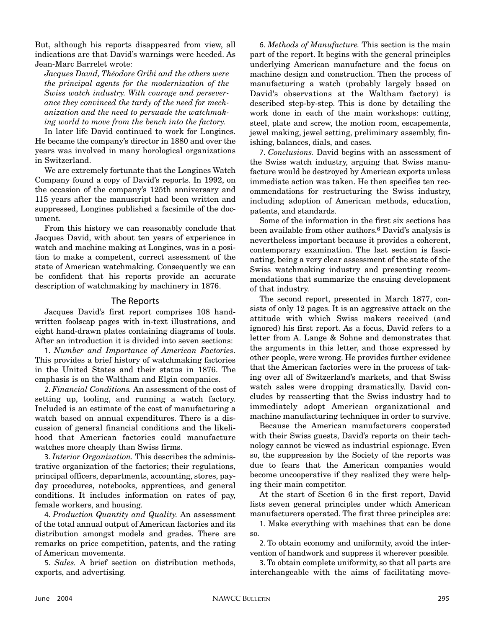But, although his reports disappeared from view, all indications are that David's warnings were heeded. As Jean-Marc Barrelet wrote:

*Jacques David, Théodore Gribi and the others were the principal agents for the modernization of the Swiss watch industry. With courage and perseverance they convinced the tardy of the need for mechanization and the need to persuade the watchmaking world to move from the bench into the factory.*

In later life David continued to work for Longines. He became the company's director in 1880 and over the years was involved in many horological organizations in Switzerland.

We are extremely fortunate that the Longines Watch Company found a copy of David's reports. In 1992, on the occasion of the company's 125th anniversary and 115 years after the manuscript had been written and suppressed, Longines published a facsimile of the document.

From this history we can reasonably conclude that Jacques David, with about ten years of experience in watch and machine making at Longines, was in a position to make a competent, correct assessment of the state of American watchmaking. Consequently we can be confident that his reports provide an accurate description of watchmaking by machinery in 1876.

## The Reports

Jacques David's first report comprises 108 handwritten foolscap pages with in-text illustrations, and eight hand-drawn plates containing diagrams of tools. After an introduction it is divided into seven sections:

1. *Number and Importance of American Factories*. This provides a brief history of watchmaking factories in the United States and their status in 1876. The emphasis is on the Waltham and Elgin companies.

2. *Financial Conditions.* An assessment of the cost of setting up, tooling, and running a watch factory. Included is an estimate of the cost of manufacturing a watch based on annual expenditures. There is a discussion of general financial conditions and the likelihood that American factories could manufacture watches more cheaply than Swiss firms.

3. *Interior Organization.* This describes the administrative organization of the factories; their regulations, principal officers, departments, accounting, stores, payday procedures, notebooks, apprentices, and general conditions. It includes information on rates of pay, female workers, and housing.

4. *Production Quantity and Quality.* An assessment of the total annual output of American factories and its distribution amongst models and grades. There are remarks on price competition, patents, and the rating of American movements.

5. *Sales.* A brief section on distribution methods, exports, and advertising.

6. *Methods of Manufacture.* This section is the main part of the report. It begins with the general principles underlying American manufacture and the focus on machine design and construction. Then the process of manufacturing a watch (probably largely based on David's observations at the Waltham factory) is described step-by-step. This is done by detailing the work done in each of the main workshops: cutting, steel, plate and screw, the motion room, escapements, jewel making, jewel setting, preliminary assembly, finishing, balances, dials, and cases.

7. *Conclusions.* David begins with an assessment of the Swiss watch industry, arguing that Swiss manufacture would be destroyed by American exports unless immediate action was taken. He then specifies ten recommendations for restructuring the Swiss industry, including adoption of American methods, education, patents, and standards.

Some of the information in the first six sections has been available from other authors.6 David's analysis is nevertheless important because it provides a coherent, contemporary examination. The last section is fascinating, being a very clear assessment of the state of the Swiss watchmaking industry and presenting recommendations that summarize the ensuing development of that industry.

The second report, presented in March 1877, consists of only 12 pages. It is an aggressive attack on the attitude with which Swiss makers received (and ignored) his first report. As a focus, David refers to a letter from A. Lange & Sohne and demonstrates that the arguments in this letter, and those expressed by other people, were wrong. He provides further evidence that the American factories were in the process of taking over all of Switzerland's markets, and that Swiss watch sales were dropping dramatically. David concludes by reasserting that the Swiss industry had to immediately adopt American organizational and machine manufacturing techniques in order to survive.

Because the American manufacturers cooperated with their Swiss guests, David's reports on their technology cannot be viewed as industrial espionage. Even so, the suppression by the Society of the reports was due to fears that the American companies would become uncooperative if they realized they were helping their main competitor.

At the start of Section 6 in the first report, David lists seven general principles under which American manufacturers operated. The first three principles are:

1. Make everything with machines that can be done so.

2. To obtain economy and uniformity, avoid the intervention of handwork and suppress it wherever possible.

3. To obtain complete uniformity, so that all parts are interchangeable with the aims of facilitating move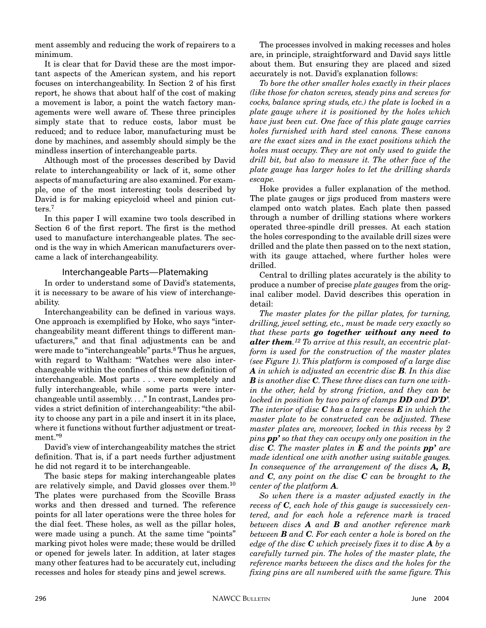ment assembly and reducing the work of repairers to a minimum.

It is clear that for David these are the most important aspects of the American system, and his report focuses on interchangeability. In Section 2 of his first report, he shows that about half of the cost of making a movement is labor, a point the watch factory managements were well aware of. These three principles simply state that to reduce costs, labor must be reduced; and to reduce labor, manufacturing must be done by machines, and assembly should simply be the mindless insertion of interchangeable parts.

Although most of the processes described by David relate to interchangeability or lack of it, some other aspects of manufacturing are also examined. For example, one of the most interesting tools described by David is for making epicycloid wheel and pinion cutters.7

In this paper I will examine two tools described in Section 6 of the first report. The first is the method used to manufacture interchangeable plates. The second is the way in which American manufacturers overcame a lack of interchangeability.

## Interchangeable Parts—Platemaking

In order to understand some of David's statements, it is necessary to be aware of his view of interchangeability.

Interchangeability can be defined in various ways. One approach is exemplified by Hoke, who says "interchangeability meant different things to different manufacturers," and that final adjustments can be and were made to "interchangeable" parts.<sup>8</sup> Thus he argues, with regard to Waltham: "Watches were also interchangeable within the confines of this new definition of interchangeable. Most parts . . . were completely and fully interchangeable, while some parts were interchangeable until assembly. . . ." In contrast, Landes provides a strict definition of interchangeability: "the ability to choose any part in a pile and insert it in its place, where it functions without further adjustment or treatment."9

David's view of interchangeability matches the strict definition. That is, if a part needs further adjustment he did not regard it to be interchangeable.

The basic steps for making interchangeable plates are relatively simple, and David glosses over them.10 The plates were purchased from the Scoville Brass works and then dressed and turned. The reference points for all later operations were the three holes for the dial feet. These holes, as well as the pillar holes, were made using a punch. At the same time "points" marking pivot holes were made; these would be drilled or opened for jewels later. In addition, at later stages many other features had to be accurately cut, including recesses and holes for steady pins and jewel screws.

The processes involved in making recesses and holes are, in principle, straightforward and David says little about them. But ensuring they are placed and sized accurately is not. David's explanation follows:

*To bore the other smaller holes exactly in their places (like those for chaton screws, steady pins and screws for cocks, balance spring studs, etc.) the plate is locked in a plate gauge where it is positioned by the holes which have just been cut. One face of this plate gauge carries holes furnished with hard steel canons. These canons are the exact sizes and in the exact positions which the holes must occupy. They are not only used to guide the drill bit, but also to measure it. The other face of the plate gauge has larger holes to let the drilling shards escape.*

Hoke provides a fuller explanation of the method. The plate gauges or jigs produced from masters were clamped onto watch plates. Each plate then passed through a number of drilling stations where workers operated three-spindle drill presses. At each station the holes corresponding to the available drill sizes were drilled and the plate then passed on to the next station, with its gauge attached, where further holes were drilled.

Central to drilling plates accurately is the ability to produce a number of precise *plate gauges* from the original caliber model. David describes this operation in detail:

*The master plates for the pillar plates, for turning, drilling, jewel setting, etc., must be made very exactly so that these parts go together without any need to alter them. <sup>12</sup> To arrive at this result, an eccentric platform is used for the construction of the master plates (see Figure 1). This platform is composed of a large disc A in which is adjusted an eccentric disc B. In this disc B is another disc C. These three discs can turn one within the other, held by strong friction, and they can be locked in position by two pairs of clamps DD and D'D'. The interior of disc C has a large recess E in which the master plate to be constructed can be adjusted. These master plates are, moreover, locked in this recess by 2 pins pp' so that they can occupy only one position in the disc C. The master plates in E and the points pp' are made identical one with another using suitable gauges. In consequence of the arrangement of the discs A, B, and C, any point on the disc C can be brought to the center of the platform A.*

*So when there is a master adjusted exactly in the recess of C, each hole of this gauge is successively centered, and for each hole a reference mark is traced between discs A and B and another reference mark between B and C. For each center a hole is bored on the edge of the disc C which precisely fixes it to disc A by a carefully turned pin. The holes of the master plate, the reference marks between the discs and the holes for the fixing pins are all numbered with the same figure. This*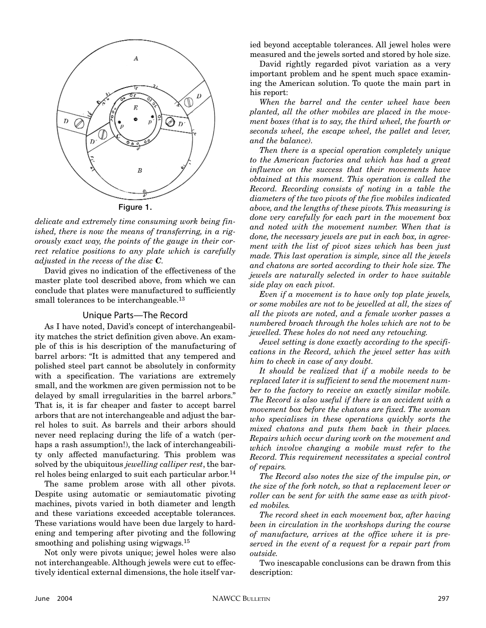

*delicate and extremely time consuming work being finished, there is now the means of transferring, in a rigorously exact way, the points of the gauge in their correct relative positions to any plate which is carefully adjusted in the recess of the disc C.*

David gives no indication of the effectiveness of the master plate tool described above, from which we can conclude that plates were manufactured to sufficiently small tolerances to be interchangeable.<sup>13</sup>

#### Unique Parts—The Record

As I have noted, David's concept of interchangeability matches the strict definition given above. An example of this is his description of the manufacturing of barrel arbors: "It is admitted that any tempered and polished steel part cannot be absolutely in conformity with a specification. The variations are extremely small, and the workmen are given permission not to be delayed by small irregularities in the barrel arbors." That is, it is far cheaper and faster to accept barrel arbors that are not interchangeable and adjust the barrel holes to suit. As barrels and their arbors should never need replacing during the life of a watch (perhaps a rash assumption!), the lack of interchangeability only affected manufacturing. This problem was solved by the ubiquitous *jewelling calliper rest*, the barrel holes being enlarged to suit each particular arbor.<sup>14</sup>

The same problem arose with all other pivots. Despite using automatic or semiautomatic pivoting machines, pivots varied in both diameter and length and these variations exceeded acceptable tolerances. These variations would have been due largely to hardening and tempering after pivoting and the following smoothing and polishing using wigwags.<sup>15</sup>

Not only were pivots unique; jewel holes were also not interchangeable. Although jewels were cut to effectively identical external dimensions, the hole itself varied beyond acceptable tolerances. All jewel holes were measured and the jewels sorted and stored by hole size.

David rightly regarded pivot variation as a very important problem and he spent much space examining the American solution. To quote the main part in his report:

*When the barrel and the center wheel have been planted, all the other mobiles are placed in the movement boxes (that is to say, the third wheel, the fourth or seconds wheel, the escape wheel, the pallet and lever, and the balance).*

*Then there is a special operation completely unique to the American factories and which has had a great influence on the success that their movements have obtained at this moment. This operation is called the Record. Recording consists of noting in a table the diameters of the two pivots of the five mobiles indicated above, and the lengths of these pivots. This measuring is done very carefully for each part in the movement box and noted with the movement number. When that is done, the necessary jewels are put in each box, in agreement with the list of pivot sizes which has been just made. This last operation is simple, since all the jewels and chatons are sorted according to their hole size. The jewels are naturally selected in order to have suitable side play on each pivot.*

*Even if a movement is to have only top plate jewels, or some mobiles are not to be jewelled at all, the sizes of all the pivots are noted, and a female worker passes a numbered broach through the holes which are not to be jewelled. These holes do not need any retouching.*

*Jewel setting is done exactly according to the specifications in the Record, which the jewel setter has with him to check in case of any doubt.*

*It should be realized that if a mobile needs to be replaced later it is sufficient to send the movement number to the factory to receive an exactly similar mobile. The Record is also useful if there is an accident with a movement box before the chatons are fixed. The woman who specialises in these operations quickly sorts the mixed chatons and puts them back in their places. Repairs which occur during work on the movement and which involve changing a mobile must refer to the Record. This requirement necessitates a special control of repairs.*

*The Record also notes the size of the impulse pin, or the size of the fork notch, so that a replacement lever or roller can be sent for with the same ease as with pivoted mobiles.*

*The record sheet in each movement box, after having been in circulation in the workshops during the course of manufacture, arrives at the office where it is preserved in the event of a request for a repair part from outside.*

Two inescapable conclusions can be drawn from this description: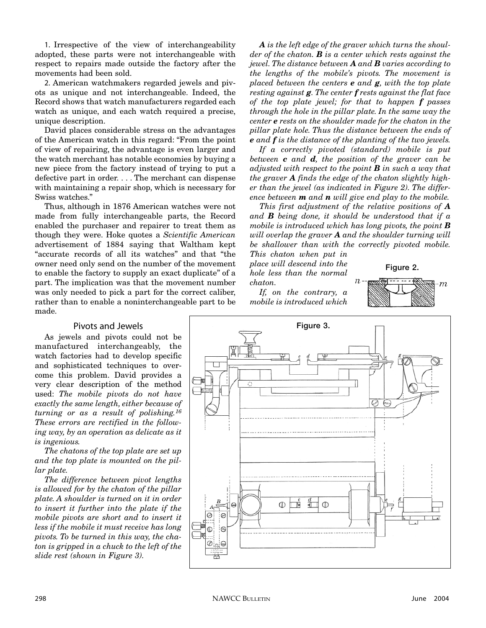1. Irrespective of the view of interchangeability adopted, these parts were not interchangeable with respect to repairs made outside the factory after the movements had been sold.

2. American watchmakers regarded jewels and pivots as unique and not interchangeable. Indeed, the Record shows that watch manufacturers regarded each watch as unique, and each watch required a precise, unique description.

David places considerable stress on the advantages of the American watch in this regard: "From the point of view of repairing, the advantage is even larger and the watch merchant has notable economies by buying a new piece from the factory instead of trying to put a defective part in order.... The merchant can dispense with maintaining a repair shop, which is necessary for Swiss watches."

Thus, although in 1876 American watches were not made from fully interchangeable parts, the Record enabled the purchaser and repairer to treat them as though they were. Hoke quotes a *Scientific American* advertisement of 1884 saying that Waltham kept "accurate records of all its watches" and that "the owner need only send on the number of the movement to enable the factory to supply an exact duplicate" of a part. The implication was that the movement number was only needed to pick a part for the correct caliber, rather than to enable a noninterchangeable part to be made.

*A is the left edge of the graver which turns the shoulder of the chaton. B is a center which rests against the jewel. The distance between A and B varies according to the lengths of the mobile's pivots. The movement is placed between the centers e and g, with the top plate resting against g. The center f rests against the flat face of the top plate jewel; for that to happen f passes through the hole in the pillar plate. In the same way the center e rests on the shoulder made for the chaton in the pillar plate hole. Thus the distance between the ends of e and f is the distance of the planting of the two jewels.*

*If a correctly pivoted (standard) mobile is put between c and d, the position of the graver can be adjusted with respect to the point B in such a way that the graver A finds the edge of the chaton slightly higher than the jewel (as indicated in Figure 2). The difference between m and n will give end play to the mobile.*

*This first adjustment of the relative positions of A and B being done, it should be understood that if a mobile is introduced which has long pivots, the point B will overlap the graver A and the shoulder turning will be shallower than with the correctly pivoted mobile.*

*This chaton when put in place will descend into the hole less than the normal chaton.*

*If, on the contrary, a mobile is introduced which*



## Pivots and Jewels

As jewels and pivots could not be manufactured interchangeably, the watch factories had to develop specific and sophisticated techniques to overcome this problem. David provides a very clear description of the method used: *The mobile pivots do not have exactly the same length, either because of turning or as a result of polishing.16 These errors are rectified in the following way, by an operation as delicate as it is ingenious.*

*The chatons of the top plate are set up and the top plate is mounted on the pillar plate.*

*The difference between pivot lengths is allowed for by the chaton of the pillar plate. A shoulder is turned on it in order to insert it further into the plate if the mobile pivots are short and to insert it less if the mobile it must receive has long pivots. To be turned in this way, the chaton is gripped in a chuck to the left of the slide rest (shown in Figure 3).*

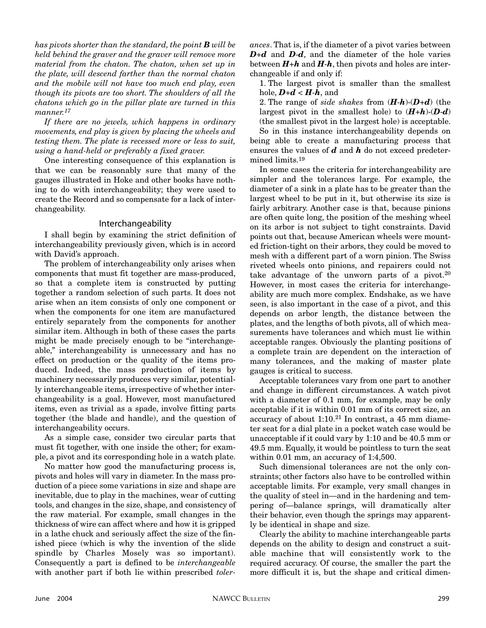*has pivots shorter than the standard, the point B will be held behind the graver and the graver will remove more material from the chaton. The chaton, when set up in the plate, will descend farther than the normal chaton and the mobile will not have too much end play, even though its pivots are too short. The shoulders of all the chatons which go in the pillar plate are turned in this manner.17*

*If there are no jewels, which happens in ordinary movements, end play is given by placing the wheels and testing them. The plate is recessed more or less to suit, using a hand-held or preferably a fixed graver.*

One interesting consequence of this explanation is that we can be reasonably sure that many of the gauges illustrated in Hoke and other books have nothing to do with interchangeability; they were used to create the Record and so compensate for a lack of interchangeability.

#### Interchangeability

I shall begin by examining the strict definition of interchangeability previously given, which is in accord with David's approach.

The problem of interchangeability only arises when components that must fit together are mass-produced, so that a complete item is constructed by putting together a random selection of such parts. It does not arise when an item consists of only one component or when the components for one item are manufactured entirely separately from the components for another similar item. Although in both of these cases the parts might be made precisely enough to be "interchangeable," interchangeability is unnecessary and has no effect on production or the quality of the items produced. Indeed, the mass production of items by machinery necessarily produces very similar, potentially interchangeable items, irrespective of whether interchangeability is a goal. However, most manufactured items, even as trivial as a spade, involve fitting parts together (the blade and handle), and the question of interchangeability occurs.

As a simple case, consider two circular parts that must fit together, with one inside the other; for example, a pivot and its corresponding hole in a watch plate.

No matter how good the manufacturing process is, pivots and holes will vary in diameter. In the mass production of a piece some variations in size and shape are inevitable, due to play in the machines, wear of cutting tools, and changes in the size, shape, and consistency of the raw material. For example, small changes in the thickness of wire can affect where and how it is gripped in a lathe chuck and seriously affect the size of the finished piece (which is why the invention of the slide spindle by Charles Mosely was so important). Consequently a part is defined to be *interchangeable* with another part if both lie within prescribed *toler-* *ances*. That is, if the diameter of a pivot varies between *D*+*d* and *D*-*d*, and the diameter of the hole varies between  $H + h$  and  $H - h$ , then pivots and holes are interchangeable if and only if:

1. The largest pivot is smaller than the smallest hole,  $\boldsymbol{D}+\boldsymbol{d} < \boldsymbol{H}\cdot\boldsymbol{h}$ , and

2. The range of *side shakes* from (*H*-*h*)-(*D*+*d*) (the largest pivot in the smallest hole) to  $(H+h)\cdot(D-d)$ (the smallest pivot in the largest hole) is acceptable.

So in this instance interchangeability depends on being able to create a manufacturing process that ensures the values of *d* and *h* do not exceed predetermined limits.19

In some cases the criteria for interchangeability are simpler and the tolerances large. For example, the diameter of a sink in a plate has to be greater than the largest wheel to be put in it, but otherwise its size is fairly arbitrary. Another case is that, because pinions are often quite long, the position of the meshing wheel on its arbor is not subject to tight constraints. David points out that, because American wheels were mounted friction-tight on their arbors, they could be moved to mesh with a different part of a worn pinion. The Swiss riveted wheels onto pinions, and repairers could not take advantage of the unworn parts of a pivot.<sup>20</sup> However, in most cases the criteria for interchangeability are much more complex. Endshake, as we have seen, is also important in the case of a pivot, and this depends on arbor length, the distance between the plates, and the lengths of both pivots, all of which measurements have tolerances and which must lie within acceptable ranges. Obviously the planting positions of a complete train are dependent on the interaction of many tolerances, and the making of master plate gauges is critical to success.

Acceptable tolerances vary from one part to another and change in different circumstances. A watch pivot with a diameter of 0.1 mm, for example, may be only acceptable if it is within 0.01 mm of its correct size, an accuracy of about  $1:10<sup>21</sup>$  In contrast, a 45 mm diameter seat for a dial plate in a pocket watch case would be unacceptable if it could vary by 1:10 and be 40.5 mm or 49.5 mm. Equally, it would be pointless to turn the seat within 0.01 mm, an accuracy of 1:4,500.

Such dimensional tolerances are not the only constraints; other factors also have to be controlled within acceptable limits. For example, very small changes in the quality of steel in—and in the hardening and tempering of—balance springs, will dramatically alter their behavior, even though the springs may apparently be identical in shape and size.

Clearly the ability to machine interchangeable parts depends on the ability to design and construct a suitable machine that will consistently work to the required accuracy. Of course, the smaller the part the more difficult it is, but the shape and critical dimen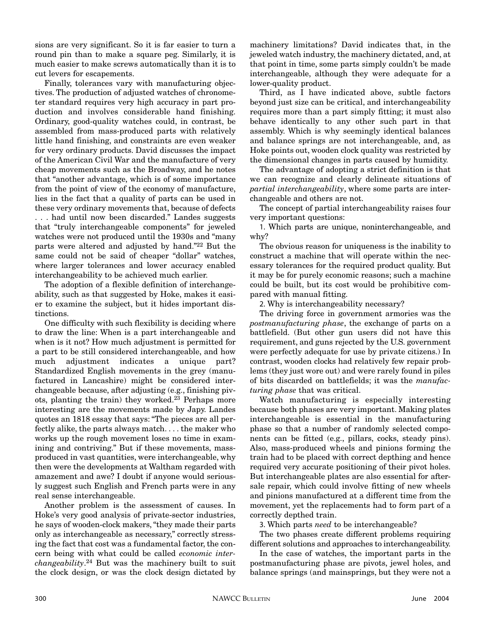sions are very significant. So it is far easier to turn a round pin than to make a square peg. Similarly, it is much easier to make screws automatically than it is to cut levers for escapements.

Finally, tolerances vary with manufacturing objectives. The production of adjusted watches of chronometer standard requires very high accuracy in part production and involves considerable hand finishing. Ordinary, good-quality watches could, in contrast, be assembled from mass-produced parts with relatively little hand finishing, and constraints are even weaker for very ordinary products. David discusses the impact of the American Civil War and the manufacture of very cheap movements such as the Broadway, and he notes that "another advantage, which is of some importance from the point of view of the economy of manufacture, lies in the fact that a quality of parts can be used in these very ordinary movements that, because of defects . . . had until now been discarded." Landes suggests that "truly interchangeable components" for jeweled watches were not produced until the 1930s and "many parts were altered and adjusted by hand."22 But the same could not be said of cheaper "dollar" watches, where larger tolerances and lower accuracy enabled interchangeability to be achieved much earlier.

The adoption of a flexible definition of interchangeability, such as that suggested by Hoke, makes it easier to examine the subject, but it hides important distinctions.

One difficulty with such flexibility is deciding where to draw the line: When is a part interchangeable and when is it not? How much adjustment is permitted for a part to be still considered interchangeable, and how much adjustment indicates a unique part? Standardized English movements in the grey (manufactured in Lancashire) might be considered interchangeable because, after adjusting (e.g., finishing pivots, planting the train) they worked.23 Perhaps more interesting are the movements made by Japy. Landes quotes an 1818 essay that says: "The pieces are all perfectly alike, the parts always match. . . . the maker who works up the rough movement loses no time in examining and contriving." But if these movements, massproduced in vast quantities, were interchangeable, why then were the developments at Waltham regarded with amazement and awe? I doubt if anyone would seriously suggest such English and French parts were in any real sense interchangeable.

Another problem is the assessment of causes. In Hoke's very good analysis of private-sector industries, he says of wooden-clock makers, "they made their parts only as interchangeable as necessary," correctly stressing the fact that cost was a fundamental factor, the concern being with what could be called *economic interchangeability*. <sup>24</sup> But was the machinery built to suit the clock design, or was the clock design dictated by machinery limitations? David indicates that, in the jeweled watch industry, the machinery dictated, and, at that point in time, some parts simply couldn't be made interchangeable, although they were adequate for a lower-quality product.

Third, as I have indicated above, subtle factors beyond just size can be critical, and interchangeability requires more than a part simply fitting; it must also behave identically to any other such part in that assembly. Which is why seemingly identical balances and balance springs are not interchangeable, and, as Hoke points out, wooden clock quality was restricted by the dimensional changes in parts caused by humidity.

The advantage of adopting a strict definition is that we can recognize and clearly delineate situations of *partial interchangeability*, where some parts are interchangeable and others are not.

The concept of partial interchangeability raises four very important questions:

1. Which parts are unique, noninterchangeable, and why?

The obvious reason for uniqueness is the inability to construct a machine that will operate within the necessary tolerances for the required product quality. But it may be for purely economic reasons; such a machine could be built, but its cost would be prohibitive compared with manual fitting.

2. Why is interchangeability necessary?

The driving force in government armories was the *postmanufacturing phase*, the exchange of parts on a battlefield. (But other gun users did not have this requirement, and guns rejected by the U.S. government were perfectly adequate for use by private citizens.) In contrast, wooden clocks had relatively few repair problems (they just wore out) and were rarely found in piles of bits discarded on battlefields; it was the *manufacturing phase* that was critical.

Watch manufacturing is especially interesting because both phases are very important. Making plates interchangeable is essential in the manufacturing phase so that a number of randomly selected components can be fitted (e.g., pillars, cocks, steady pins). Also, mass-produced wheels and pinions forming the train had to be placed with correct depthing and hence required very accurate positioning of their pivot holes. But interchangeable plates are also essential for aftersale repair, which could involve fitting of new wheels and pinions manufactured at a different time from the movement, yet the replacements had to form part of a correctly depthed train.

3. Which parts *need* to be interchangeable?

The two phases create different problems requiring different solutions and approaches to interchangeability.

In the case of watches, the important parts in the postmanufacturing phase are pivots, jewel holes, and balance springs (and mainsprings, but they were not a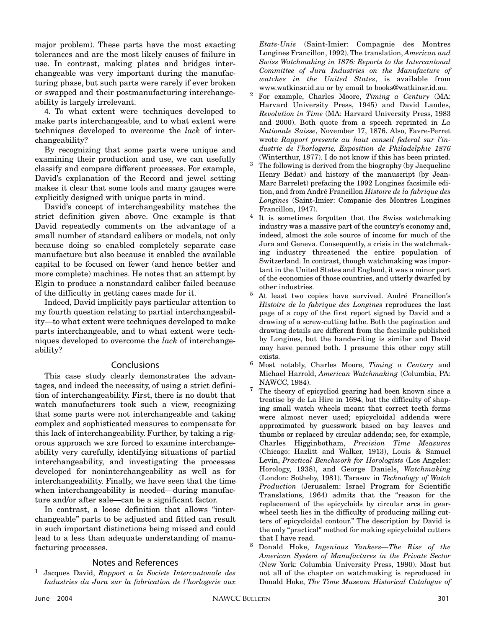major problem). These parts have the most exacting tolerances and are the most likely causes of failure in use. In contrast, making plates and bridges interchangeable was very important during the manufacturing phase, but such parts were rarely if ever broken or swapped and their postmanufacturing interchangeability is largely irrelevant.

4. To what extent were techniques developed to make parts interchangeable, and to what extent were techniques developed to overcome the *lack* of interchangeability?

By recognizing that some parts were unique and examining their production and use, we can usefully classify and compare different processes. For example, David's explanation of the Record and jewel setting makes it clear that some tools and many gauges were explicitly designed with unique parts in mind.

David's concept of interchangeability matches the strict definition given above. One example is that David repeatedly comments on the advantage of a small number of standard calibers or models, not only because doing so enabled completely separate case manufacture but also because it enabled the available capital to be focused on fewer (and hence better and more complete) machines. He notes that an attempt by Elgin to produce a nonstandard caliber failed because of the difficulty in getting cases made for it.

Indeed, David implicitly pays particular attention to my fourth question relating to partial interchangeability—to what extent were techniques developed to make parts interchangeable, and to what extent were techniques developed to overcome the *lack* of interchangeability?

#### **Conclusions**

This case study clearly demonstrates the advantages, and indeed the necessity, of using a strict definition of interchangeability. First, there is no doubt that watch manufacturers took such a view, recognizing that some parts were not interchangeable and taking complex and sophisticated measures to compensate for this lack of interchangeability. Further, by taking a rigorous approach we are forced to examine interchangeability very carefully, identifying situations of partial interchangeability, and investigating the processes developed for noninterchangeability as well as for interchangeability. Finally, we have seen that the time when interchangeability is needed—during manufacture and/or after sale—can be a significant factor.

In contrast, a loose definition that allows "interchangeable" parts to be adjusted and fitted can result in such important distinctions being missed and could lead to a less than adequate understanding of manufacturing processes.

#### Notes and References

<sup>1</sup> Jacques David, *Rapport a la Societe Intercantonale des Industries du Jura sur la fabrication de l'horlogerie aux* *Etats-Unis* (Saint-Imier: Compagnie des Montres Longines Francillon, 1992). The translation, *American and Swiss Watchmaking in 1876: Reports to the Intercantonal Committee of Jura Industries on the Manufacture of watches in the United States*, is available from www.watkinsr.id.au or by email to books@watkinsr.id.au.

- <sup>2</sup> For example, Charles Moore, *Timing a Century* (MA: Harvard University Press, 1945) and David Landes, *Revolution in Time* (MA: Harvard University Press, 1983 and 2000). Both quote from a speech reprinted in *La Nationale Suisse*, November 17, 1876. Also, Favre-Perret wrote *Rapport presente au haut conseil federal sur l'industrie de l'horlogerie, Exposition de Philadelphie 1876* (Winterthur, 1877). I do not know if this has been printed.
- <sup>3</sup> The following is derived from the biography (by Jacqueline Henry Bédat) and history of the manuscript (by Jean-Marc Barrelet) prefacing the 1992 Longines facsimile edition, and from André Francillon *Histoire de la fabrique des Longines* (Saint-Imier: Companie des Montres Longines Francillon, 1947).
- <sup>4</sup> It is sometimes forgotten that the Swiss watchmaking industry was a massive part of the country's economy and, indeed, almost the sole source of income for much of the Jura and Geneva. Consequently, a crisis in the watchmaking industry threatened the entire population of Switzerland. In contrast, though watchmaking was important in the United States and England, it was a minor part of the economies of those countries, and utterly dwarfed by other industries.
- <sup>5</sup> At least two copies have survived. André Francillon's *Histoire de la fabrique des Longines* reproduces the last page of a copy of the first report signed by David and a drawing of a screw-cutting lathe. Both the pagination and drawing details are different from the facsimile published by Longines, but the handwriting is similar and David may have penned both. I presume this other copy still exists.
- <sup>6</sup> Most notably, Charles Moore, *Timing a Century* and Michael Harrold, *American Watchmaking* (Columbia, PA: NAWCC, 1984).
- <sup>7</sup> The theory of epicycliod gearing had been known since a treatise by de La Hire in 1694, but the difficulty of shaping small watch wheels meant that correct teeth forms were almost never used; epicycloidal addenda were approximated by guesswork based on bay leaves and thumbs or replaced by circular addenda; see, for example, Charles Higginbotham, *Precision Time Measures* (Chicago: Hazlitt and Walker, 1913), Louis & Samuel Levin, *Practical Benchwork for Horologists* (Los Angeles: Horology, 1938), and George Daniels, *Watchmaking* (London: Sotheby, 1981). Tarasov in *Technology of Watch Production* (Jerusalem: Israel Program for Scientific Translations, 1964) admits that the "reason for the replacement of the epicycloids by circular arcs in gearwheel teeth lies in the difficulty of producing milling cutters of epicycloidal contour." The description by David is the only "practical" method for making epicycloidal cutters that I have read.
- <sup>8</sup> Donald Hoke, *Ingenious Yankees—The Rise of the American System of Manufactures in the Private Sector* (New York: Columbia University Press, 1990). Most but not all of the chapter on watchmaking is reproduced in Donald Hoke, *The Time Museum Historical Catalogue of*